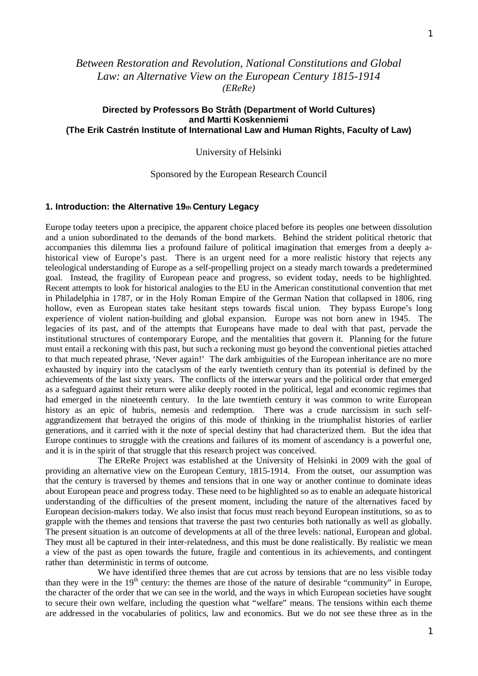# *Between Restoration and Revolution, National Constitutions and Global Law: an Alternative View on the European Century 1815-1914 (EReRe)*

# **Directed by Professors Bo Stråth (Department of World Cultures) and Martti Koskenniemi (The Erik Castrén Institute of International Law and Human Rights, Faculty of Law)**

University of Helsinki

# Sponsored by the European Research Council

### **1. Introduction: the Alternative 19th Century Legacy**

Europe today teeters upon a precipice, the apparent choice placed before its peoples one between dissolution and a union subordinated to the demands of the bond markets. Behind the strident political rhetoric that accompanies this dilemma lies a profound failure of political imagination that emerges from a deeply ahistorical view of Europe's past. There is an urgent need for a more realistic history that rejects any teleological understanding of Europe as a self-propelling project on a steady march towards a predetermined goal. Instead, the fragility of European peace and progress, so evident today, needs to be highlighted. Recent attempts to look for historical analogies to the EU in the American constitutional convention that met in Philadelphia in 1787, or in the Holy Roman Empire of the German Nation that collapsed in 1806, ring hollow, even as European states take hesitant steps towards fiscal union. They bypass Europe's long experience of violent nation-building and global expansion. Europe was not born anew in 1945. The legacies of its past, and of the attempts that Europeans have made to deal with that past, pervade the institutional structures of contemporary Europe, and the mentalities that govern it. Planning for the future must entail a reckoning with this past, but such a reckoning must go beyond the conventional pieties attached to that much repeated phrase, 'Never again!' The dark ambiguities of the European inheritance are no more exhausted by inquiry into the cataclysm of the early twentieth century than its potential is defined by the achievements of the last sixty years. The conflicts of the interwar years and the political order that emerged as a safeguard against their return were alike deeply rooted in the political, legal and economic regimes that had emerged in the nineteenth century. In the late twentieth century it was common to write European history as an epic of hubris, nemesis and redemption. There was a crude narcissism in such selfaggrandizement that betrayed the origins of this mode of thinking in the triumphalist histories of earlier generations, and it carried with it the note of special destiny that had characterized them. But the idea that Europe continues to struggle with the creations and failures of its moment of ascendancy is a powerful one, and it is in the spirit of that struggle that this research project was conceived.

The EReRe Project was established at the University of Helsinki in 2009 with the goal of providing an alternative view on the European Century, 1815-1914. From the outset, our assumption was that the century is traversed by themes and tensions that in one way or another continue to dominate ideas about European peace and progress today. These need to be highlighted so as to enable an adequate historical understanding of the difficulties of the present moment, including the nature of the alternatives faced by European decision-makers today. We also insist that focus must reach beyond European institutions, so as to grapple with the themes and tensions that traverse the past two centuries both nationally as well as globally. The present situation is an outcome of developments at all of the three levels: national, European and global. They must all be captured in their inter-relatedness, and this must be done realistically. By realistic we mean a view of the past as open towards the future, fragile and contentious in its achievements, and contingent rather than deterministic in terms of outcome.

We have identified three themes that are cut across by tensions that are no less visible today than they were in the  $19<sup>th</sup>$  century: the themes are those of the nature of desirable "community" in Europe, the character of the order that we can see in the world, and the ways in which European societies have sought to secure their own welfare, including the question what "welfare" means. The tensions within each theme are addressed in the vocabularies of politics, law and economics. But we do not see these three as in the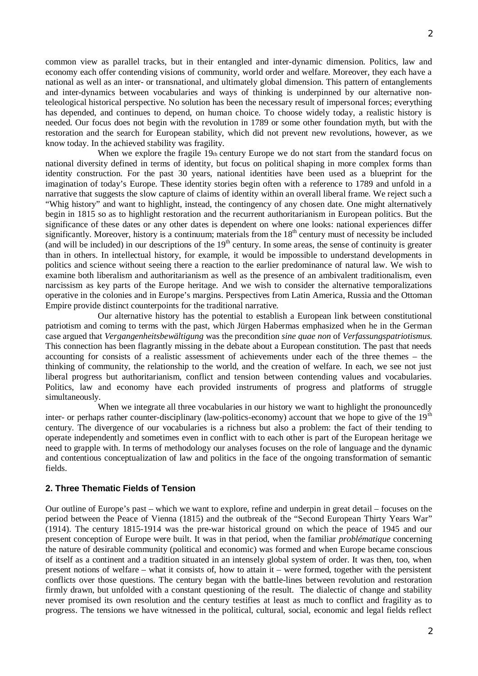common view as parallel tracks, but in their entangled and inter-dynamic dimension. Politics, law and economy each offer contending visions of community, world order and welfare. Moreover, they each have a national as well as an inter- or transnational, and ultimately global dimension. This pattern of entanglements and inter-dynamics between vocabularies and ways of thinking is underpinned by our alternative nonteleological historical perspective. No solution has been the necessary result of impersonal forces; everything has depended, and continues to depend, on human choice. To choose widely today, a realistic history is needed. Our focus does not begin with the revolution in 1789 or some other foundation myth, but with the restoration and the search for European stability, which did not prevent new revolutions, however, as we know today. In the achieved stability was fragility.

When we explore the fragile  $19<sub>th</sub>$  century Europe we do not start from the standard focus on national diversity defined in terms of identity, but focus on political shaping in more complex forms than identity construction. For the past 30 years, national identities have been used as a blueprint for the imagination of today's Europe. These identity stories begin often with a reference to 1789 and unfold in a narrative that suggests the slow capture of claims of identity within an overall liberal frame. We reject such a "Whig history" and want to highlight, instead, the contingency of any chosen date. One might alternatively begin in 1815 so as to highlight restoration and the recurrent authoritarianism in European politics. But the significance of these dates or any other dates is dependent on where one looks: national experiences differ significantly. Moreover, history is a continuum; materials from the  $18<sup>th</sup>$  century must of necessity be included (and will be included) in our descriptions of the  $19<sup>th</sup>$  century. In some areas, the sense of continuity is greater than in others. In intellectual history, for example, it would be impossible to understand developments in politics and science without seeing there a reaction to the earlier predominance of natural law. We wish to examine both liberalism and authoritarianism as well as the presence of an ambivalent traditionalism, even narcissism as key parts of the Europe heritage. And we wish to consider the alternative temporalizations operative in the colonies and in Europe's margins. Perspectives from Latin America, Russia and the Ottoman Empire provide distinct counterpoints for the traditional narrative.

Our alternative history has the potential to establish a European link between constitutional patriotism and coming to terms with the past, which Jürgen Habermas emphasized when he in the German case argued that *Vergangenheitsbewältigung* was the precondition *sine quae non* of *Verfassungspatriotismus.*  This connection has been flagrantly missing in the debate about a European constitution. The past that needs accounting for consists of a realistic assessment of achievements under each of the three themes – the thinking of community, the relationship to the world, and the creation of welfare. In each, we see not just liberal progress but authoritarianism, conflict and tension between contending values and vocabularies. Politics, law and economy have each provided instruments of progress and platforms of struggle simultaneously.

When we integrate all three vocabularies in our history we want to highlight the pronouncedly inter- or perhaps rather counter-disciplinary (law-politics-economy) account that we hope to give of the 19<sup>th</sup> century. The divergence of our vocabularies is a richness but also a problem: the fact of their tending to operate independently and sometimes even in conflict with to each other is part of the European heritage we need to grapple with. In terms of methodology our analyses focuses on the role of language and the dynamic and contentious conceptualization of law and politics in the face of the ongoing transformation of semantic fields.

# **2. Three Thematic Fields of Tension**

Our outline of Europe's past – which we want to explore, refine and underpin in great detail – focuses on the period between the Peace of Vienna (1815) and the outbreak of the "Second European Thirty Years War" (1914). The century 1815-1914 was the pre-war historical ground on which the peace of 1945 and our present conception of Europe were built. It was in that period, when the familiar *problématique* concerning the nature of desirable community (political and economic) was formed and when Europe became conscious of itself as a continent and a tradition situated in an intensely global system of order. It was then, too, when present notions of welfare – what it consists of, how to attain it – were formed, together with the persistent conflicts over those questions. The century began with the battle-lines between revolution and restoration firmly drawn, but unfolded with a constant questioning of the result. The dialectic of change and stability never promised its own resolution and the century testifies at least as much to conflict and fragility as to progress. The tensions we have witnessed in the political, cultural, social, economic and legal fields reflect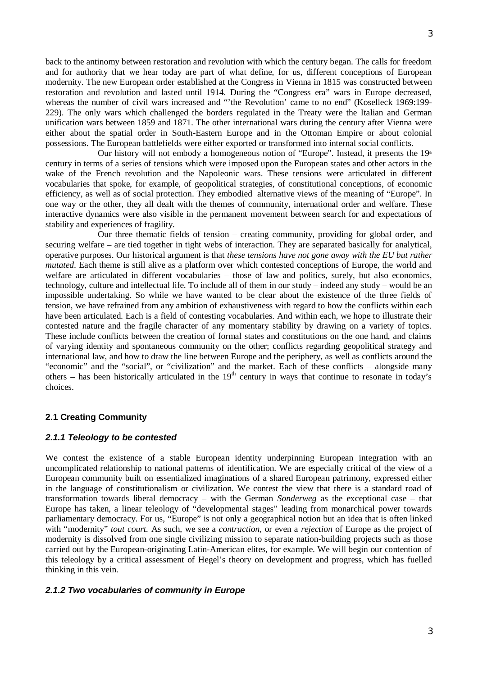back to the antinomy between restoration and revolution with which the century began. The calls for freedom and for authority that we hear today are part of what define, for us, different conceptions of European modernity. The new European order established at the Congress in Vienna in 1815 was constructed between restoration and revolution and lasted until 1914. During the "Congress era" wars in Europe decreased, whereas the number of civil wars increased and "'the Revolution' came to no end" (Koselleck 1969:199-229). The only wars which challenged the borders regulated in the Treaty were the Italian and German unification wars between 1859 and 1871. The other international wars during the century after Vienna were either about the spatial order in South-Eastern Europe and in the Ottoman Empire or about colonial possessions. The European battlefields were either exported or transformed into internal social conflicts.

Our history will not embody a homogeneous notion of "Europe". Instead, it presents the  $19<sup>th</sup>$ century in terms of a series of tensions which were imposed upon the European states and other actors in the wake of the French revolution and the Napoleonic wars. These tensions were articulated in different vocabularies that spoke, for example, of geopolitical strategies, of constitutional conceptions, of economic efficiency, as well as of social protection. They embodied alternative views of the meaning of "Europe". In one way or the other, they all dealt with the themes of community, international order and welfare. These interactive dynamics were also visible in the permanent movement between search for and expectations of stability and experiences of fragility.

Our three thematic fields of tension – creating community, providing for global order, and securing welfare – are tied together in tight webs of interaction. They are separated basically for analytical, operative purposes. Our historical argument is that *these tensions have not gone away with the EU but rather mutated*. Each theme is still alive as a platform over which contested conceptions of Europe, the world and welfare are articulated in different vocabularies – those of law and politics, surely, but also economics, technology, culture and intellectual life. To include all of them in our study – indeed any study – would be an impossible undertaking. So while we have wanted to be clear about the existence of the three fields of tension, we have refrained from any ambition of exhaustiveness with regard to how the conflicts within each have been articulated. Each is a field of contesting vocabularies. And within each, we hope to illustrate their contested nature and the fragile character of any momentary stability by drawing on a variety of topics. These include conflicts between the creation of formal states and constitutions on the one hand, and claims of varying identity and spontaneous community on the other; conflicts regarding geopolitical strategy and international law, and how to draw the line between Europe and the periphery, as well as conflicts around the "economic" and the "social", or "civilization" and the market. Each of these conflicts – alongside many others – has been historically articulated in the  $19<sup>th</sup>$  century in ways that continue to resonate in today's choices.

# **2.1 Creating Community**

# *2.1.1 Teleology to be contested*

We contest the existence of a stable European identity underpinning European integration with an uncomplicated relationship to national patterns of identification. We are especially critical of the view of a European community built on essentialized imaginations of a shared European patrimony, expressed either in the language of constitutionalism or civilization. We contest the view that there is a standard road of transformation towards liberal democracy – with the German *Sonderweg* as the exceptional case *–* that Europe has taken, a linear teleology of "developmental stages" leading from monarchical power towards parliamentary democracy. For us, "Europe" is not only a geographical notion but an idea that is often linked with "modernity" *tout court.* As such, we see a *contraction*, or even a *rejection* of Europe as the project of modernity is dissolved from one single civilizing mission to separate nation-building projects such as those carried out by the European-originating Latin-American elites, for example. We will begin our contention of this teleology by a critical assessment of Hegel's theory on development and progress, which has fuelled thinking in this vein.

#### *2.1.2 Two vocabularies of community in Europe*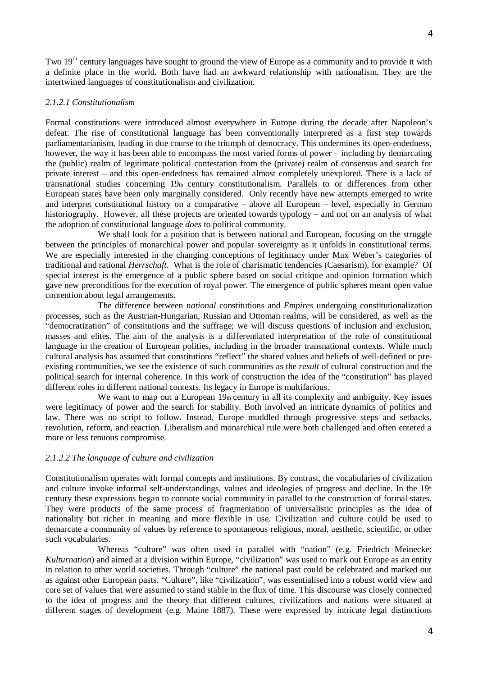Two 19<sup>th</sup> century languages have sought to ground the view of Europe as a community and to provide it with a definite place in the world. Both have had an awkward relationship with nationalism. They are the intertwined languages of constitutionalism and civilization.

# *2.1.2.1 Constitutionalism*

Formal constitutions were introduced almost everywhere in Europe during the decade after Napoleon's defeat. The rise of constitutional language has been conventionally interpreted as a first step towards parliamentarianism, leading in due course to the triumph of democracy. This undermines its open-endedness, however, the way it has been able to encompass the most varied forms of power – including by demarcating the (public) realm of legitimate political contestation from the (private) realm of consensus and search for private interest – and this open-endedness has remained almost completely unexplored. There is a lack of transnational studies concerning 19th century constitutionalism. Parallels to or differences from other European states have been only marginally considered. Only recently have new attempts emerged to write and interpret constitutional history on a comparative – above all European – level, especially in German historiography. However, all these projects are oriented towards typology – and not on an analysis of what the adoption of constitutional language *does* to political community.

We shall look for a position that is between national and European, focusing on the struggle between the principles of monarchical power and popular sovereignty as it unfolds in constitutional terms. We are especially interested in the changing conceptions of legitimacy under Max Weber's categories of traditional and rational *Herrschaft.* What is the role of charismatic tendencies (Caesarism), for example? Of special interest is the emergence of a public sphere based on social critique and opinion formation which gave new preconditions for the execution of royal power. The emergence of public spheres meant open value contention about legal arrangements.

The difference between *national* constitutions and *Empires* undergoing constitutionalization processes, such as the Austrian-Hungarian, Russian and Ottoman realms, will be considered, as well as the "democratization" of constitutions and the suffrage; we will discuss questions of inclusion and exclusion, masses and elites. The aim of the analysis is a differentiated interpretation of the role of constitutional language in the creation of European polities, including in the broader transnational contexts. While much cultural analysis has assumed that constitutions "reflect" the shared values and beliefs of well-defined or preexisting communities, we see the existence of such communities as the *result* of cultural construction and the political search for internal coherence. In this work of construction the idea of the "constitution" has played different roles in different national contexts. Its legacy in Europe is multifarious.

We want to map out a European  $19<sub>th</sub>$  century in all its complexity and ambiguity. Key issues were legitimacy of power and the search for stability. Both involved an intricate dynamics of politics and law. There was no script to follow. Instead, Europe muddled through progressive steps and setbacks, revolution, reform, and reaction. Liberalism and monarchical rule were both challenged and often entered a more or less tenuous compromise.

# *2.1.2.2 The language of culture and civilization*

Constitutionalism operates with formal concepts and institutions. By contrast, the vocabularies of civilization and culture invoke informal self-understandings, values and ideologies of progress and decline. In the  $19<sup>th</sup>$ century these expressions began to connote social community in parallel to the construction of formal states. They were products of the same process of fragmentation of universalistic principles as the idea of nationality but richer in meaning and more flexible in use. Civilization and culture could be used to demarcate a community of values by reference to spontaneous religious, moral, aesthetic, scientific, or other such vocabularies.

Whereas "culture" was often used in parallel with "nation" (e.g. Friedrich Meinecke: *Kulturnation*) and aimed at a division within Europe, "civilization" was used to mark out Europe as an entity in relation to other world societies. Through "culture" the national past could be celebrated and marked out as against other European pasts. "Culture", like "civilization", was essentialised into a robust world view and core set of values that were assumed to stand stable in the flux of time. This discourse was closely connected to the idea of progress and the theory that different cultures, civilizations and nations were situated at different stages of development (e.g. Maine 1887). These were expressed by intricate legal distinctions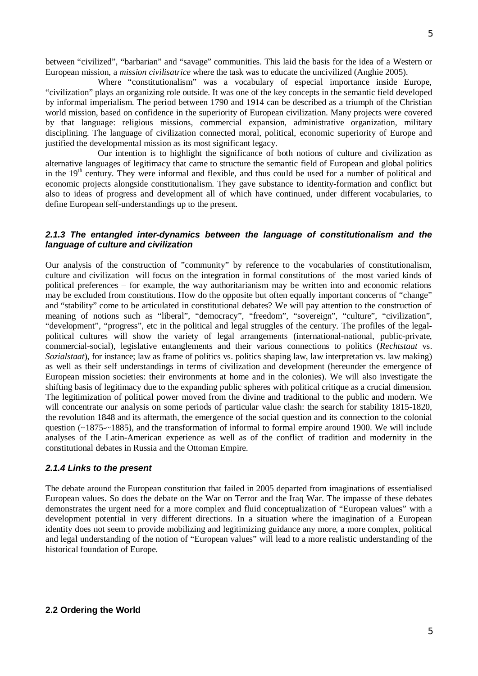Where "constitutionalism" was a vocabulary of especial importance inside Europe, "civilization" plays an organizing role outside. It was one of the key concepts in the semantic field developed by informal imperialism. The period between 1790 and 1914 can be described as a triumph of the Christian world mission, based on confidence in the superiority of European civilization. Many projects were covered by that language: religious missions, commercial expansion, administrative organization, military disciplining. The language of civilization connected moral, political, economic superiority of Europe and justified the developmental mission as its most significant legacy.

Our intention is to highlight the significance of both notions of culture and civilization as alternative languages of legitimacy that came to structure the semantic field of European and global politics in the 19<sup>th</sup> century. They were informal and flexible, and thus could be used for a number of political and economic projects alongside constitutionalism. They gave substance to identity-formation and conflict but also to ideas of progress and development all of which have continued, under different vocabularies, to define European self-understandings up to the present.

# *2.1.3 The entangled inter-dynamics between the language of constitutionalism and the language of culture and civilization*

Our analysis of the construction of "community" by reference to the vocabularies of constitutionalism, culture and civilization will focus on the integration in formal constitutions of the most varied kinds of political preferences – for example, the way authoritarianism may be written into and economic relations may be excluded from constitutions. How do the opposite but often equally important concerns of "change" and "stability" come to be articulated in constitutional debates? We will pay attention to the construction of meaning of notions such as "liberal", "democracy", "freedom", "sovereign", "culture", "civilization", "development", "progress", etc in the political and legal struggles of the century. The profiles of the legalpolitical cultures will show the variety of legal arrangements (international-national, public-private, commercial-social), legislative entanglements and their various connections to politics (*Rechtstaat* vs. *Sozialstaat*), for instance; law as frame of politics vs. politics shaping law, law interpretation vs. law making) as well as their self understandings in terms of civilization and development (hereunder the emergence of European mission societies: their environments at home and in the colonies). We will also investigate the shifting basis of legitimacy due to the expanding public spheres with political critique as a crucial dimension. The legitimization of political power moved from the divine and traditional to the public and modern. We will concentrate our analysis on some periods of particular value clash: the search for stability 1815-1820, the revolution 1848 and its aftermath, the emergence of the social question and its connection to the colonial question  $\left(\sim 1875 - 1885\right)$ , and the transformation of informal to formal empire around 1900. We will include analyses of the Latin-American experience as well as of the conflict of tradition and modernity in the constitutional debates in Russia and the Ottoman Empire.

# *2.1.4 Links to the present*

The debate around the European constitution that failed in 2005 departed from imaginations of essentialised European values. So does the debate on the War on Terror and the Iraq War. The impasse of these debates demonstrates the urgent need for a more complex and fluid conceptualization of "European values" with a development potential in very different directions. In a situation where the imagination of a European identity does not seem to provide mobilizing and legitimizing guidance any more, a more complex, political and legal understanding of the notion of "European values" will lead to a more realistic understanding of the historical foundation of Europe.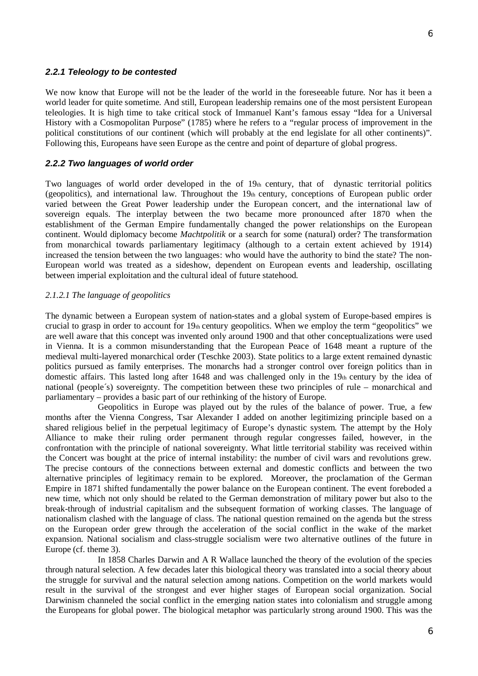#### *2.2.1 Teleology to be contested*

We now know that Europe will not be the leader of the world in the foreseeable future. Nor has it been a world leader for quite sometime. And still, European leadership remains one of the most persistent European teleologies. It is high time to take critical stock of Immanuel Kant's famous essay "Idea for a Universal History with a Cosmopolitan Purpose" (1785) where he refers to a "regular process of improvement in the political constitutions of our continent (which will probably at the end legislate for all other continents)". Following this, Europeans have seen Europe as the centre and point of departure of global progress.

### *2.2.2 Two languages of world order*

Two languages of world order developed in the of 19th century, that of dynastic territorial politics (geopolitics), and international law. Throughout the  $19<sub>th</sub>$  century, conceptions of European public order varied between the Great Power leadership under the European concert, and the international law of sovereign equals. The interplay between the two became more pronounced after 1870 when the establishment of the German Empire fundamentally changed the power relationships on the European continent. Would diplomacy become *Machtpolitik* or a search for some (natural) order? The transformation from monarchical towards parliamentary legitimacy (although to a certain extent achieved by 1914) increased the tension between the two languages: who would have the authority to bind the state? The non-European world was treated as a sideshow, dependent on European events and leadership, oscillating between imperial exploitation and the cultural ideal of future statehood.

#### *2.1.2.1 The language of geopolitics*

The dynamic between a European system of nation-states and a global system of Europe-based empires is crucial to grasp in order to account for 19th century geopolitics. When we employ the term "geopolitics" we are well aware that this concept was invented only around 1900 and that other conceptualizations were used in Vienna. It is a common misunderstanding that the European Peace of 1648 meant a rupture of the medieval multi-layered monarchical order (Teschke 2003). State politics to a large extent remained dynastic politics pursued as family enterprises. The monarchs had a stronger control over foreign politics than in domestic affairs. This lasted long after 1648 and was challenged only in the 19th century by the idea of national (people´s) sovereignty. The competition between these two principles of rule – monarchical and parliamentary – provides a basic part of our rethinking of the history of Europe.

Geopolitics in Europe was played out by the rules of the balance of power. True, a few months after the Vienna Congress, Tsar Alexander I added on another legitimizing principle based on a shared religious belief in the perpetual legitimacy of Europe's dynastic system. The attempt by the Holy Alliance to make their ruling order permanent through regular congresses failed, however, in the confrontation with the principle of national sovereignty. What little territorial stability was received within the Concert was bought at the price of internal instability: the number of civil wars and revolutions grew. The precise contours of the connections between external and domestic conflicts and between the two alternative principles of legitimacy remain to be explored. Moreover, the proclamation of the German Empire in 1871 shifted fundamentally the power balance on the European continent. The event foreboded a new time, which not only should be related to the German demonstration of military power but also to the break-through of industrial capitalism and the subsequent formation of working classes. The language of nationalism clashed with the language of class. The national question remained on the agenda but the stress on the European order grew through the acceleration of the social conflict in the wake of the market expansion. National socialism and class-struggle socialism were two alternative outlines of the future in Europe (cf. theme 3).

In 1858 Charles Darwin and A R Wallace launched the theory of the evolution of the species through natural selection. A few decades later this biological theory was translated into a social theory about the struggle for survival and the natural selection among nations. Competition on the world markets would result in the survival of the strongest and ever higher stages of European social organization. Social Darwinism channeled the social conflict in the emerging nation states into colonialism and struggle among the Europeans for global power. The biological metaphor was particularly strong around 1900. This was the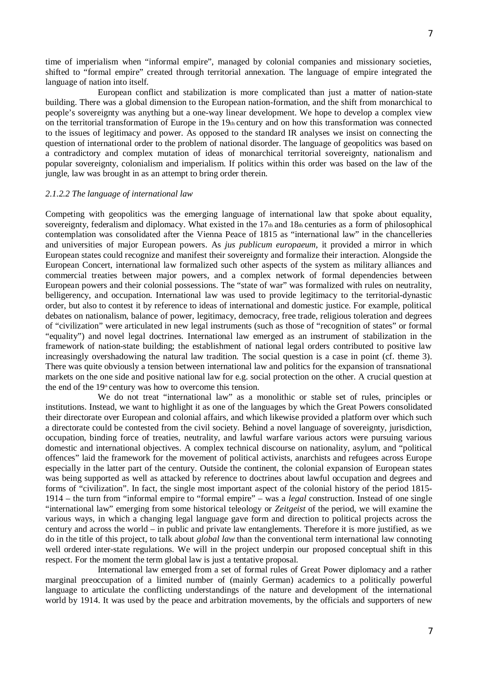time of imperialism when "informal empire", managed by colonial companies and missionary societies, shifted to "formal empire" created through territorial annexation. The language of empire integrated the language of nation into itself.

European conflict and stabilization is more complicated than just a matter of nation-state building. There was a global dimension to the European nation-formation, and the shift from monarchical to people's sovereignty was anything but a one-way linear development. We hope to develop a complex view on the territorial transformation of Europe in the  $19<sub>th</sub>$  century and on how this transformation was connected to the issues of legitimacy and power. As opposed to the standard IR analyses we insist on connecting the question of international order to the problem of national disorder. The language of geopolitics was based on a contradictory and complex mutation of ideas of monarchical territorial sovereignty, nationalism and popular sovereignty, colonialism and imperialism. If politics within this order was based on the law of the jungle, law was brought in as an attempt to bring order therein.

#### *2.1.2.2 The language of international law*

Competing with geopolitics was the emerging language of international law that spoke about equality, sovereignty, federalism and diplomacy. What existed in the 17th and 18th centuries as a form of philosophical contemplation was consolidated after the Vienna Peace of 1815 as "international law" in the chancelleries and universities of major European powers. As *jus publicum europaeum,* it provided a mirror in which European states could recognize and manifest their sovereignty and formalize their interaction. Alongside the European Concert, international law formalized such other aspects of the system as military alliances and commercial treaties between major powers, and a complex network of formal dependencies between European powers and their colonial possessions. The "state of war" was formalized with rules on neutrality, belligerency, and occupation. International law was used to provide legitimacy to the territorial-dynastic order, but also to contest it by reference to ideas of international and domestic justice. For example, political debates on nationalism, balance of power, legitimacy, democracy, free trade, religious toleration and degrees of "civilization" were articulated in new legal instruments (such as those of "recognition of states" or formal "equality") and novel legal doctrines. International law emerged as an instrument of stabilization in the framework of nation-state building; the establishment of national legal orders contributed to positive law increasingly overshadowing the natural law tradition. The social question is a case in point (cf. theme 3). There was quite obviously a tension between international law and politics for the expansion of transnational markets on the one side and positive national law for e.g. social protection on the other. A crucial question at the end of the  $19<sup>th</sup>$  century was how to overcome this tension.

We do not treat "international law" as a monolithic or stable set of rules, principles or institutions. Instead, we want to highlight it as one of the languages by which the Great Powers consolidated their directorate over European and colonial affairs, and which likewise provided a platform over which such a directorate could be contested from the civil society. Behind a novel language of sovereignty, jurisdiction, occupation, binding force of treaties, neutrality, and lawful warfare various actors were pursuing various domestic and international objectives. A complex technical discourse on nationality, asylum, and "political offences" laid the framework for the movement of political activists, anarchists and refugees across Europe especially in the latter part of the century. Outside the continent, the colonial expansion of European states was being supported as well as attacked by reference to doctrines about lawful occupation and degrees and forms of "civilization". In fact, the single most important aspect of the colonial history of the period 1815- 1914 – the turn from "informal empire to "formal empire" – was a *legal* construction. Instead of one single "international law" emerging from some historical teleology or *Zeitgeist* of the period, we will examine the various ways, in which a changing legal language gave form and direction to political projects across the century and across the world – in public and private law entanglements. Therefore it is more justified, as we do in the title of this project, to talk about *global law* than the conventional term international law connoting well ordered inter-state regulations. We will in the project underpin our proposed conceptual shift in this respect. For the moment the term global law is just a tentative proposal.

International law emerged from a set of formal rules of Great Power diplomacy and a rather marginal preoccupation of a limited number of (mainly German) academics to a politically powerful language to articulate the conflicting understandings of the nature and development of the international world by 1914. It was used by the peace and arbitration movements, by the officials and supporters of new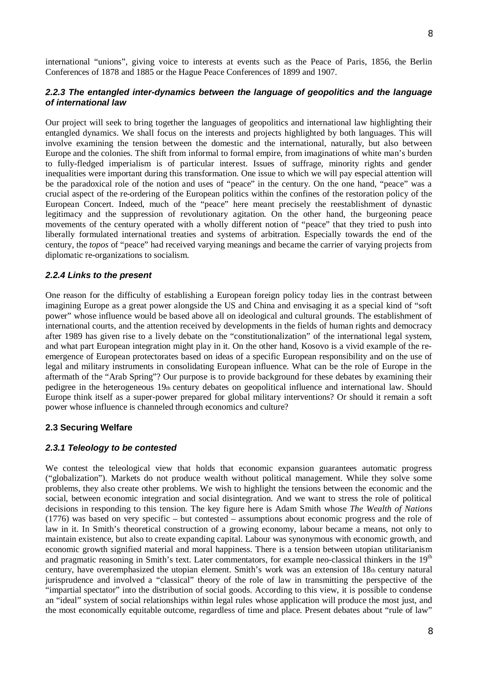international "unions", giving voice to interests at events such as the Peace of Paris, 1856, the Berlin Conferences of 1878 and 1885 or the Hague Peace Conferences of 1899 and 1907.

# *2.2.3 The entangled inter-dynamics between the language of geopolitics and the language of international law*

Our project will seek to bring together the languages of geopolitics and international law highlighting their entangled dynamics. We shall focus on the interests and projects highlighted by both languages. This will involve examining the tension between the domestic and the international, naturally, but also between Europe and the colonies. The shift from informal to formal empire, from imaginations of white man's burden to fully-fledged imperialism is of particular interest. Issues of suffrage, minority rights and gender inequalities were important during this transformation. One issue to which we will pay especial attention will be the paradoxical role of the notion and uses of "peace" in the century. On the one hand, "peace" was a crucial aspect of the re-ordering of the European politics within the confines of the restoration policy of the European Concert. Indeed, much of the "peace" here meant precisely the reestablishment of dynastic legitimacy and the suppression of revolutionary agitation. On the other hand, the burgeoning peace movements of the century operated with a wholly different notion of "peace" that they tried to push into liberally formulated international treaties and systems of arbitration. Especially towards the end of the century, the *topos* of "peace" had received varying meanings and became the carrier of varying projects from diplomatic re-organizations to socialism.

### *2.2.4 Links to the present*

One reason for the difficulty of establishing a European foreign policy today lies in the contrast between imagining Europe as a great power alongside the US and China and envisaging it as a special kind of "soft power" whose influence would be based above all on ideological and cultural grounds. The establishment of international courts, and the attention received by developments in the fields of human rights and democracy after 1989 has given rise to a lively debate on the "constitutionalization" of the international legal system, and what part European integration might play in it. On the other hand, Kosovo is a vivid example of the reemergence of European protectorates based on ideas of a specific European responsibility and on the use of legal and military instruments in consolidating European influence. What can be the role of Europe in the aftermath of the "Arab Spring"? Our purpose is to provide background for these debates by examining their pedigree in the heterogeneous 19th century debates on geopolitical influence and international law. Should Europe think itself as a super-power prepared for global military interventions? Or should it remain a soft power whose influence is channeled through economics and culture?

# **2.3 Securing Welfare**

#### *2.3.1 Teleology to be contested*

We contest the teleological view that holds that economic expansion guarantees automatic progress ("globalization"). Markets do not produce wealth without political management. While they solve some problems, they also create other problems. We wish to highlight the tensions between the economic and the social, between economic integration and social disintegration. And we want to stress the role of political decisions in responding to this tension. The key figure here is Adam Smith whose *The Wealth of Nations*  (1776) was based on very specific – but contested – assumptions about economic progress and the role of law in it. In Smith's theoretical construction of a growing economy, labour became a means, not only to maintain existence, but also to create expanding capital. Labour was synonymous with economic growth, and economic growth signified material and moral happiness. There is a tension between utopian utilitarianism and pragmatic reasoning in Smith's text. Later commentators, for example neo-classical thinkers in the 19<sup>th</sup> century, have overemphasized the utopian element. Smith's work was an extension of  $18<sub>th</sub>$  century natural jurisprudence and involved a "classical" theory of the role of law in transmitting the perspective of the "impartial spectator" into the distribution of social goods. According to this view, it is possible to condense an "ideal" system of social relationships within legal rules whose application will produce the most just, and the most economically equitable outcome, regardless of time and place. Present debates about "rule of law"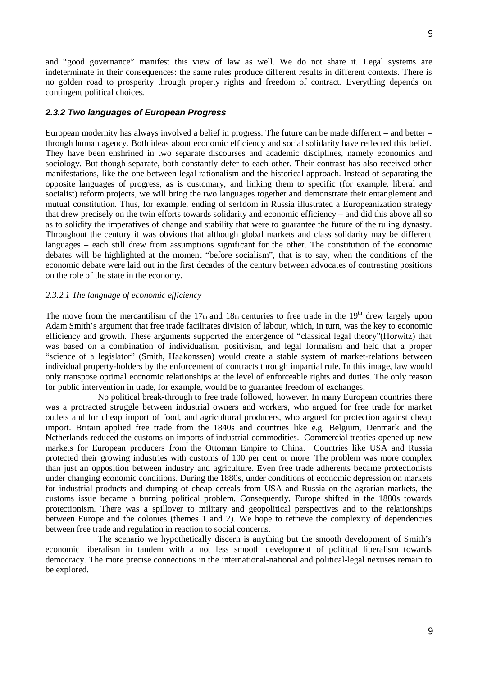and "good governance" manifest this view of law as well. We do not share it. Legal systems are indeterminate in their consequences: the same rules produce different results in different contexts. There is no golden road to prosperity through property rights and freedom of contract. Everything depends on contingent political choices.

# *2.3.2 Two languages of European Progress*

European modernity has always involved a belief in progress. The future can be made different – and better – through human agency. Both ideas about economic efficiency and social solidarity have reflected this belief. They have been enshrined in two separate discourses and academic disciplines, namely economics and sociology. But though separate, both constantly defer to each other. Their contrast has also received other manifestations, like the one between legal rationalism and the historical approach. Instead of separating the opposite languages of progress, as is customary, and linking them to specific (for example, liberal and socialist) reform projects, we will bring the two languages together and demonstrate their entanglement and mutual constitution. Thus, for example, ending of serfdom in Russia illustrated a Europeanization strategy that drew precisely on the twin efforts towards solidarity and economic efficiency – and did this above all so as to solidify the imperatives of change and stability that were to guarantee the future of the ruling dynasty. Throughout the century it was obvious that although global markets and class solidarity may be different languages – each still drew from assumptions significant for the other. The constitution of the economic debates will be highlighted at the moment "before socialism", that is to say, when the conditions of the economic debate were laid out in the first decades of the century between advocates of contrasting positions on the role of the state in the economy.

# *2.3.2.1 The language of economic efficiency*

The move from the mercantilism of the 17th and 18th centuries to free trade in the  $19<sup>th</sup>$  drew largely upon Adam Smith's argument that free trade facilitates division of labour, which, in turn, was the key to economic efficiency and growth. These arguments supported the emergence of "classical legal theory"(Horwitz) that was based on a combination of individualism, positivism, and legal formalism and held that a proper "science of a legislator" (Smith, Haakonssen) would create a stable system of market-relations between individual property-holders by the enforcement of contracts through impartial rule. In this image, law would only transpose optimal economic relationships at the level of enforceable rights and duties. The only reason for public intervention in trade, for example, would be to guarantee freedom of exchanges.

No political break-through to free trade followed, however. In many European countries there was a protracted struggle between industrial owners and workers, who argued for free trade for market outlets and for cheap import of food, and agricultural producers, who argued for protection against cheap import. Britain applied free trade from the 1840s and countries like e.g. Belgium, Denmark and the Netherlands reduced the customs on imports of industrial commodities. Commercial treaties opened up new markets for European producers from the Ottoman Empire to China. Countries like USA and Russia protected their growing industries with customs of 100 per cent or more. The problem was more complex than just an opposition between industry and agriculture. Even free trade adherents became protectionists under changing economic conditions. During the 1880s, under conditions of economic depression on markets for industrial products and dumping of cheap cereals from USA and Russia on the agrarian markets, the customs issue became a burning political problem. Consequently, Europe shifted in the 1880s towards protectionism. There was a spillover to military and geopolitical perspectives and to the relationships between Europe and the colonies (themes 1 and 2). We hope to retrieve the complexity of dependencies between free trade and regulation in reaction to social concerns.

The scenario we hypothetically discern is anything but the smooth development of Smith's economic liberalism in tandem with a not less smooth development of political liberalism towards democracy. The more precise connections in the international-national and political-legal nexuses remain to be explored.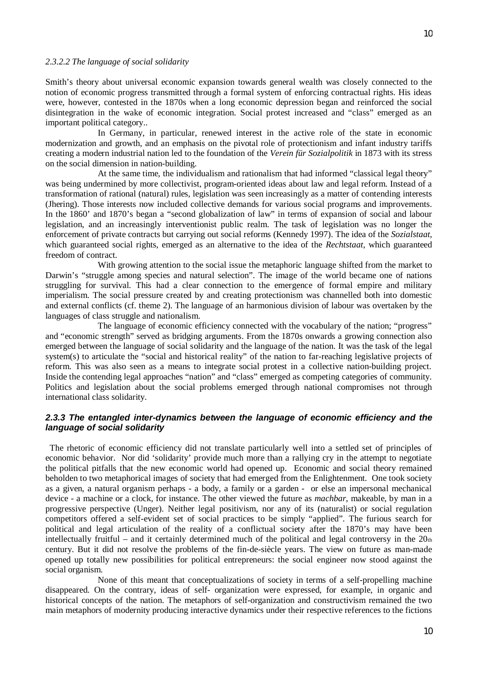#### *2.3.2.2 The language of social solidarity*

Smith's theory about universal economic expansion towards general wealth was closely connected to the notion of economic progress transmitted through a formal system of enforcing contractual rights. His ideas were, however, contested in the 1870s when a long economic depression began and reinforced the social disintegration in the wake of economic integration. Social protest increased and "class" emerged as an important political category..

In Germany, in particular, renewed interest in the active role of the state in economic modernization and growth, and an emphasis on the pivotal role of protectionism and infant industry tariffs creating a modern industrial nation led to the foundation of the *Verein für Sozialpolitik* in 1873 with its stress on the social dimension in nation-building.

At the same time, the individualism and rationalism that had informed "classical legal theory" was being undermined by more collectivist, program-oriented ideas about law and legal reform. Instead of a transformation of rational (natural) rules, legislation was seen increasingly as a matter of contending interests (Jhering). Those interests now included collective demands for various social programs and improvements. In the 1860' and 1870's began a "second globalization of law" in terms of expansion of social and labour legislation, and an increasingly interventionist public realm. The task of legislation was no longer the enforcement of private contracts but carrying out social reforms (Kennedy 1997). The idea of the *Sozialstaat*, which guaranteed social rights, emerged as an alternative to the idea of the *Rechtstaat*, which guaranteed freedom of contract.

With growing attention to the social issue the metaphoric language shifted from the market to Darwin's "struggle among species and natural selection". The image of the world became one of nations struggling for survival. This had a clear connection to the emergence of formal empire and military imperialism. The social pressure created by and creating protectionism was channelled both into domestic and external conflicts (cf. theme 2). The language of an harmonious division of labour was overtaken by the languages of class struggle and nationalism.

The language of economic efficiency connected with the vocabulary of the nation; "progress" and "economic strength" served as bridging arguments. From the 1870s onwards a growing connection also emerged between the language of social solidarity and the language of the nation. It was the task of the legal system(s) to articulate the "social and historical reality" of the nation to far-reaching legislative projects of reform. This was also seen as a means to integrate social protest in a collective nation-building project. Inside the contending legal approaches "nation" and "class" emerged as competing categories of community. Politics and legislation about the social problems emerged through national compromises not through international class solidarity.

# *2.3.3 The entangled inter-dynamics between the language of economic efficiency and the language of social solidarity*

 The rhetoric of economic efficiency did not translate particularly well into a settled set of principles of economic behavior. Nor did 'solidarity' provide much more than a rallying cry in the attempt to negotiate the political pitfalls that the new economic world had opened up. Economic and social theory remained beholden to two metaphorical images of society that had emerged from the Enlightenment. One took society as a given, a natural organism perhaps - a body, a family or a garden - or else an impersonal mechanical device - a machine or a clock, for instance. The other viewed the future as *machbar*, makeable, by man in a progressive perspective (Unger). Neither legal positivism, nor any of its (naturalist) or social regulation competitors offered a self-evident set of social practices to be simply "applied". The furious search for political and legal articulation of the reality of a conflictual society after the 1870's may have been intellectually fruitful – and it certainly determined much of the political and legal controversy in the  $20<sub>th</sub>$ century. But it did not resolve the problems of the fin-de-siècle years. The view on future as man-made opened up totally new possibilities for political entrepreneurs: the social engineer now stood against the social organism.

None of this meant that conceptualizations of society in terms of a self-propelling machine disappeared. On the contrary, ideas of self- organization were expressed, for example, in organic and historical concepts of the nation. The metaphors of self-organization and constructivism remained the two main metaphors of modernity producing interactive dynamics under their respective references to the fictions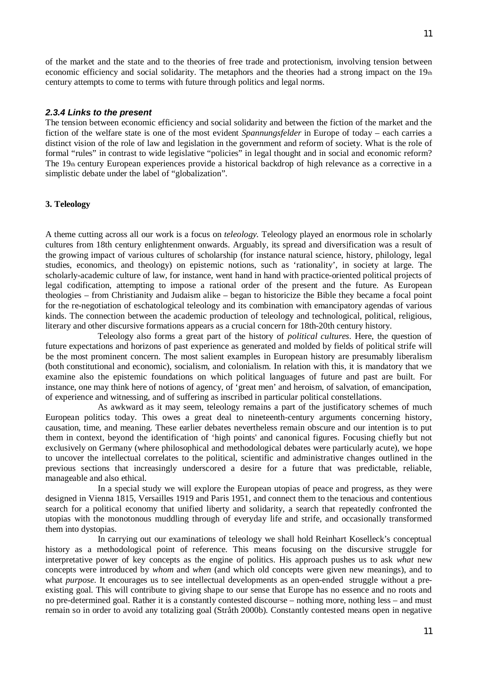of the market and the state and to the theories of free trade and protectionism, involving tension between economic efficiency and social solidarity. The metaphors and the theories had a strong impact on the  $19<sub>th</sub>$ century attempts to come to terms with future through politics and legal norms.

### *2.3.4 Links to the present*

The tension between economic efficiency and social solidarity and between the fiction of the market and the fiction of the welfare state is one of the most evident *Spannungsfelder* in Europe of today – each carries a distinct vision of the role of law and legislation in the government and reform of society. What is the role of formal "rules" in contrast to wide legislative "policies" in legal thought and in social and economic reform? The 19th century European experiences provide a historical backdrop of high relevance as a corrective in a simplistic debate under the label of "globalization".

### **3. Teleology**

A theme cutting across all our work is a focus on *teleology.* Teleology played an enormous role in scholarly cultures from 18th century enlightenment onwards. Arguably, its spread and diversification was a result of the growing impact of various cultures of scholarship (for instance natural science, history, philology, legal studies, economics, and theology) on epistemic notions, such as 'rationality', in society at large. The scholarly-academic culture of law, for instance, went hand in hand with practice-oriented political projects of legal codification, attempting to impose a rational order of the present and the future. As European theologies – from Christianity and Judaism alike – began to historicize the Bible they became a focal point for the re-negotiation of eschatological teleology and its combination with emancipatory agendas of various kinds. The connection between the academic production of teleology and technological, political, religious, literary and other discursive formations appears as a crucial concern for 18th-20th century history.

Teleology also forms a great part of the history of *political cultures*. Here, the question of future expectations and horizons of past experience as generated and molded by fields of political strife will be the most prominent concern. The most salient examples in European history are presumably liberalism (both constitutional and economic), socialism, and colonialism. In relation with this, it is mandatory that we examine also the epistemic foundations on which political languages of future and past are built. For instance, one may think here of notions of agency, of 'great men' and heroism, of salvation, of emancipation, of experience and witnessing, and of suffering as inscribed in particular political constellations.

As awkward as it may seem, teleology remains a part of the justificatory schemes of much European politics today. This owes a great deal to nineteenth-century arguments concerning history, causation, time, and meaning. These earlier debates nevertheless remain obscure and our intention is to put them in context, beyond the identification of 'high points' and canonical figures. Focusing chiefly but not exclusively on Germany (where philosophical and methodological debates were particularly acute), we hope to uncover the intellectual correlates to the political, scientific and administrative changes outlined in the previous sections that increasingly underscored a desire for a future that was predictable, reliable, manageable and also ethical.

In a special study we will explore the European utopias of peace and progress, as they were designed in Vienna 1815, Versailles 1919 and Paris 1951, and connect them to the tenacious and contentious search for a political economy that unified liberty and solidarity, a search that repeatedly confronted the utopias with the monotonous muddling through of everyday life and strife, and occasionally transformed them into dystopias.

In carrying out our examinations of teleology we shall hold Reinhart Koselleck's conceptual history as a methodological point of reference. This means focusing on the discursive struggle for interpretative power of key concepts as the engine of politics. His approach pushes us to ask *what* new concepts were introduced by *whom* and *when* (and which old concepts were given new meanings), and to what *purpose*. It encourages us to see intellectual developments as an open-ended struggle without a preexisting goal. This will contribute to giving shape to our sense that Europe has no essence and no roots and no pre-determined goal. Rather it is a constantly contested discourse – nothing more, nothing less – and must remain so in order to avoid any totalizing goal (Stråth 2000b). Constantly contested means open in negative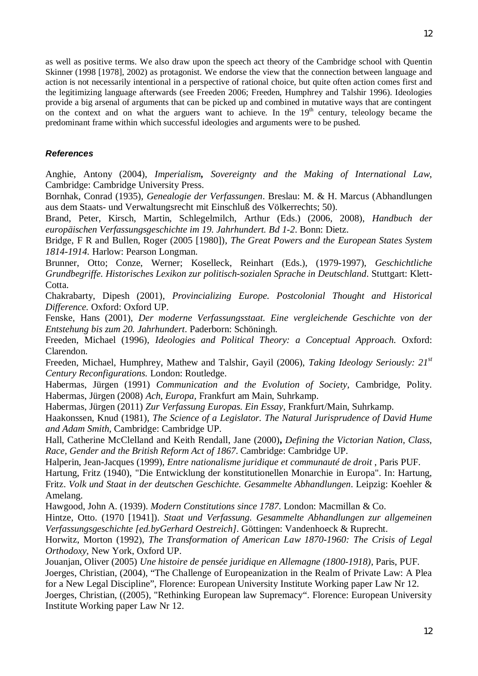as well as positive terms. We also draw upon the speech act theory of the Cambridge school with Quentin Skinner (1998 [1978], 2002) as protagonist. We endorse the view that the connection between language and action is not necessarily intentional in a perspective of rational choice, but quite often action comes first and the legitimizing language afterwards (see Freeden 2006; Freeden, Humphrey and Talshir 1996). Ideologies provide a big arsenal of arguments that can be picked up and combined in mutative ways that are contingent on the context and on what the arguers want to achieve. In the  $19<sup>th</sup>$  century, teleology became the predominant frame within which successful ideologies and arguments were to be pushed.

# *References*

Anghie, Antony (2004), *Imperialism, Sovereignty and the Making of International Law*, Cambridge: Cambridge University Press.

Bornhak, Conrad (1935), *Genealogie der Verfassungen*. Breslau: M. & H. Marcus (Abhandlungen aus dem Staats- und Verwaltungsrecht mit Einschluß des Völkerrechts; 50).

Brand, Peter, Kirsch, Martin, Schlegelmilch, Arthur (Eds.) (2006, 2008), *Handbuch der europäischen Verfassungsgeschichte im 19. Jahrhundert. Bd 1-2*. Bonn: Dietz.

Bridge, F R and Bullen, Roger (2005 [1980]), *The Great Powers and the European States System 1814-1914.* Harlow: Pearson Longman.

Brunner, Otto; Conze, Werner; Koselleck, Reinhart (Eds.), (1979-1997), *Geschichtliche Grundbegriffe. Historisches Lexikon zur politisch-sozialen Sprache in Deutschland*. Stuttgart: Klett-Cotta.

Chakrabarty, Dipesh (2001), *Provincializing Europe. Postcolonial Thought and Historical Difference.* Oxford: Oxford UP.

Fenske, Hans (2001), *Der moderne Verfassungsstaat. Eine vergleichende Geschichte von der Entstehung bis zum 20. Jahrhundert*. Paderborn: Schöningh.

Freeden, Michael (1996), *Ideologies and Political Theory: a Conceptual Approach.* Oxford: Clarendon.

Freeden, Michael, Humphrey, Mathew and Talshir, Gayil (2006), *Taking Ideology Seriously: 21st Century Reconfigurations.* London: Routledge.

Habermas, Jürgen (1991) *Communication and the Evolution of Society,* Cambridge, Polity. Habermas, Jürgen (2008) *Ach, Europa,* Frankfurt am Main, Suhrkamp.

Habermas, Jürgen (2011) *Zur Verfassung Europas. Ein Essay,* Frankfurt/Main, Suhrkamp.

Haakonssen, Knud (1981), *The Science of a Legislator. The Natural Jurisprudence of David Hume and Adam Smith*, Cambridge: Cambridge UP.

Hall, Catherine McClelland and Keith Rendall, Jane (2000)**,** *Defining the Victorian Nation, Class, Race, Gender and the British Reform Act of 1867*. Cambridge: Cambridge UP.

Halperin, Jean-Jacques (1999), *Entre nationalisme juridique et communauté de droit* , Paris PUF.

Hartung, Fritz (1940), "Die Entwicklung der konstitutionellen Monarchie in Europa". In: Hartung, Fritz. *Volk und Staat in der deutschen Geschichte. Gesammelte Abhandlungen*. Leipzig: Koehler & Amelang.

Hawgood, John A. (1939). *Modern Constitutions since 1787*. London: Macmillan & Co.

Hintze, Otto. (1970 [1941]). *Staat und Verfassung. Gesammelte Abhandlungen zur allgemeinen Verfassungsgeschichte [ed.byGerhard Oestreich]*. Göttingen: Vandenhoeck & Ruprecht.

Horwitz, Morton (1992), *The Transformation of American Law 1870-1960: The Crisis of Legal Orthodoxy,* New York, Oxford UP.

Jouanjan, Oliver (2005) *Une histoire de pensée juridique en Allemagne (1800-1918)*, Paris, PUF. Joerges, Christian, (2004), "The Challenge of Europeanization in the Realm of Private Law: A Plea for a New Legal Discipline", Florence: European University Institute Working paper Law Nr 12. Joerges, Christian, ((2005), "Rethinking European law Supremacy". Florence: European University

Institute Working paper Law Nr 12.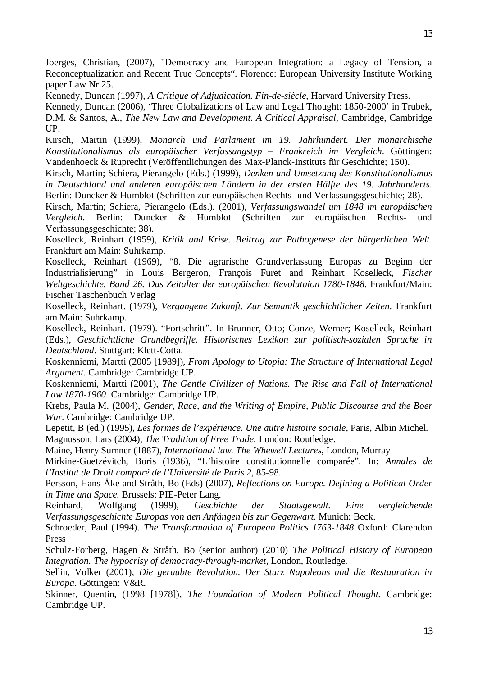Joerges, Christian, (2007), "Democracy and European Integration: a Legacy of Tension, a Reconceptualization and Recent True Concepts". Florence: European University Institute Working paper Law Nr 25.

Kennedy, Duncan (1997), *A Critique of Adjudication. Fin-de-siècle*, Harvard University Press.

Kennedy, Duncan (2006), 'Three Globalizations of Law and Legal Thought: 1850-2000' in Trubek, D.M. & Santos, A., *The New Law and Development. A Critical Appraisal*, Cambridge, Cambridge UP.

Kirsch, Martin (1999), *Monarch und Parlament im 19. Jahrhundert. Der monarchische Konstitutionalismus als europäischer Verfassungstyp – Frankreich im Vergleich*. Göttingen: Vandenhoeck & Ruprecht (Veröffentlichungen des Max-Planck-Instituts für Geschichte; 150).

Kirsch, Martin; Schiera, Pierangelo (Eds.) (1999), *Denken und Umsetzung des Konstitutionalismus in Deutschland und anderen europäischen Ländern in der ersten Hälfte des 19. Jahrhunderts*. Berlin: Duncker & Humblot (Schriften zur europäischen Rechts- und Verfassungsgeschichte; 28).

Kirsch, Martin; Schiera, Pierangelo (Eds.). (2001), *Verfassungswandel um 1848 im europäischen Vergleich*. Berlin: Duncker & Humblot (Schriften zur europäischen Rechts- und Verfassungsgeschichte; 38).

Koselleck, Reinhart (1959), *Kritik und Krise. Beitrag zur Pathogenese der bürgerlichen Welt*. Frankfurt am Main: Suhrkamp.

Koselleck, Reinhart (1969), "8. Die agrarische Grundverfassung Europas zu Beginn der Industrialisierung" in Louis Bergeron, François Furet and Reinhart Koselleck, *Fischer Weltgeschichte. Band 26. Das Zeitalter der europäischen Revolutuion 1780-1848. Frankfurt/Main:* Fischer Taschenbuch Verlag

Koselleck, Reinhart. (1979), *Vergangene Zukunft. Zur Semantik geschichtlicher Zeiten*. Frankfurt am Main: Suhrkamp.

Koselleck, Reinhart. (1979). "Fortschritt". In Brunner, Otto; Conze, Werner; Koselleck, Reinhart (Eds.), *Geschichtliche Grundbegriffe. Historisches Lexikon zur politisch-sozialen Sprache in Deutschland*. Stuttgart: Klett-Cotta.

Koskenniemi, Martti (2005 [1989]), *From Apology to Utopia: The Structure of International Legal Argument.* Cambridge: Cambridge UP.

Koskenniemi, Martti (2001), *The Gentle Civilizer of Nations. The Rise and Fall of International Law 1870-1960.* Cambridge: Cambridge UP.

Krebs, Paula M. (2004), *Gender, Race, and the Writing of Empire, Public Discourse and the Boer War*. Cambridge: Cambridge UP.

Lepetit, B (ed.) (1995), *Les formes de l'expérience. Une autre histoire sociale*, Paris, Albin Michel. Magnusson, Lars (2004), *The Tradition of Free Trade.* London: Routledge.

Maine, Henry Sumner (1887), *International law. The Whewell Lectures*, London, Murray

Mirkine-Guetzévitch, Boris (1936), "L'histoire constitutionnelle comparée". In: *Annales de l'Institut de Droit comparé de l'Université de Paris 2*, 85-98.

Persson, Hans-Åke and Stråth, Bo (Eds) (2007), *Reflections on Europe. Defining a Political Order in Time and Space.* Brussels: PIE-Peter Lang.

Reinhard, Wolfgang (1999), *Geschichte der Staatsgewalt. Eine vergleichende Verfassungsgeschichte Europas von den Anfängen bis zur Gegenwart.* Munich: Beck.

Schroeder, Paul (1994). *The Transformation of European Politics 1763-1848* Oxford: Clarendon Press

Schulz-Forberg, Hagen & Stråth, Bo (senior author) (2010) *The Political History of European Integration. The hypocrisy of democracy-through-market,* London, Routledge.

Sellin, Volker (2001), *Die geraubte Revolution. Der Sturz Napoleons und die Restauration in Europa.* Göttingen: V&R.

Skinner, Quentin, (1998 [1978]), *The Foundation of Modern Political Thought.* Cambridge: Cambridge UP.